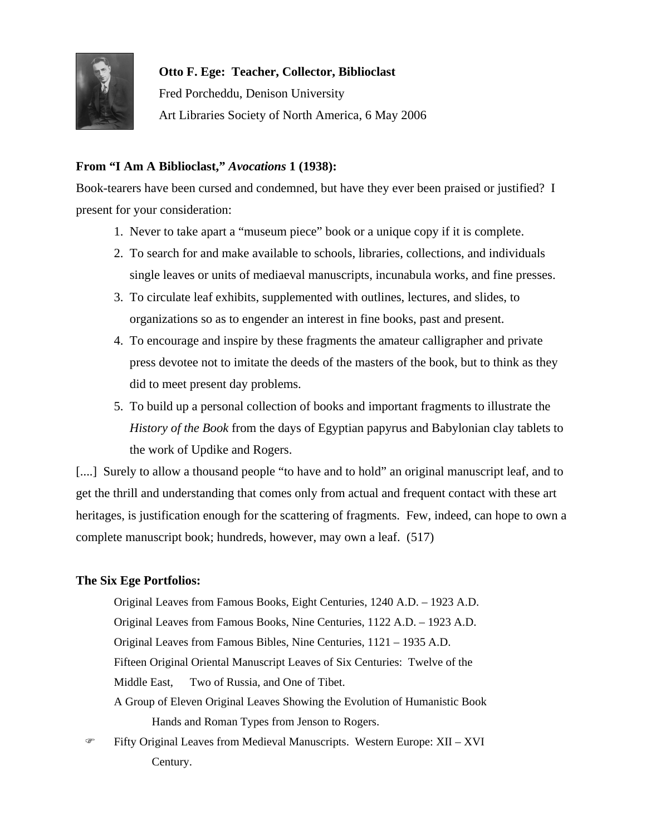

 **Otto F. Ege: Teacher, Collector, Biblioclast**  Fred Porcheddu, Denison University Art Libraries Society of North America, 6 May 2006

# **From "I Am A Biblioclast,"** *Avocations* **1 (1938):**

Book-tearers have been cursed and condemned, but have they ever been praised or justified? I present for your consideration:

- 1. Never to take apart a "museum piece" book or a unique copy if it is complete.
- 2. To search for and make available to schools, libraries, collections, and individuals single leaves or units of mediaeval manuscripts, incunabula works, and fine presses.
- 3. To circulate leaf exhibits, supplemented with outlines, lectures, and slides, to organizations so as to engender an interest in fine books, past and present.
- 4. To encourage and inspire by these fragments the amateur calligrapher and private press devotee not to imitate the deeds of the masters of the book, but to think as they did to meet present day problems.
- 5. To build up a personal collection of books and important fragments to illustrate the *History of the Book* from the days of Egyptian papyrus and Babylonian clay tablets to the work of Updike and Rogers.

[....] Surely to allow a thousand people "to have and to hold" an original manuscript leaf, and to get the thrill and understanding that comes only from actual and frequent contact with these art heritages, is justification enough for the scattering of fragments. Few, indeed, can hope to own a complete manuscript book; hundreds, however, may own a leaf. (517)

## **The Six Ege Portfolios:**

 Original Leaves from Famous Books, Eight Centuries, 1240 A.D. – 1923 A.D. Original Leaves from Famous Books, Nine Centuries, 1122 A.D. – 1923 A.D. Original Leaves from Famous Bibles, Nine Centuries, 1121 – 1935 A.D. Fifteen Original Oriental Manuscript Leaves of Six Centuries: Twelve of the Middle East, Two of Russia, and One of Tibet. A Group of Eleven Original Leaves Showing the Evolution of Humanistic Book Hands and Roman Types from Jenson to Rogers.

 ) Fifty Original Leaves from Medieval Manuscripts. Western Europe: XII – XVI Century.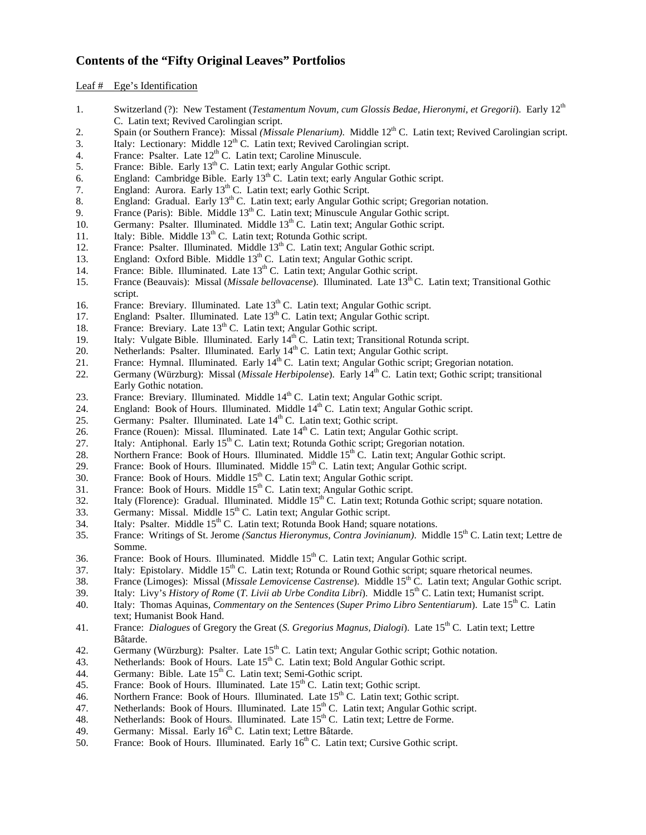### **Contents of the "Fifty Original Leaves" Portfolios**

#### Leaf # Ege's Identification

- 1. Switzerland (?): New Testament (*Testamentum Novum, cum Glossis Bedae, Hieronymi, et Gregorii*). Early 12<sup>th</sup> C. Latin text; Revived Carolingian script.
- 2. Spain (or Southern France): Missal *(Missale Plenarium)*. Middle 12th C. Latin text; Revived Carolingian script.
- 3. Italy: Lectionary: Middle  $12<sup>th</sup>$  C. Latin text; Revived Carolingian script.
- 4. France: Psalter. Late  $12<sup>th</sup>$  C. Latin text; Caroline Minuscule.
- 5. France: Bible. Early  $13<sup>th</sup>$  C. Latin text; early Angular Gothic script.
- 6. England: Cambridge Bible. Early  $13^{th}$  C. Latin text; early Angular Gothic script.
- 7. England: Aurora. Early  $13<sup>th</sup>$  C. Latin text; early Gothic Script.
- 8. England: Gradual. Early 13<sup>th</sup> C. Latin text; early Angular Gothic script; Gregorian notation.
- 9. France (Paris): Bible. Middle  $13<sup>th</sup>$  C. Latin text; Minuscule Angular Gothic script.
- 10. Germany: Psalter. Illuminated. Middle 13<sup>th</sup> C. Latin text; Angular Gothic script.
- 11. Italy: Bible. Middle 13<sup>th</sup> C. Latin text; Rotunda Gothic script.
- 12. France: Psalter. Illuminated. Middle  $13<sup>th</sup>$  C. Latin text; Angular Gothic script.
- 13. England: Oxford Bible. Middle  $13<sup>th</sup>$  C. Latin text; Angular Gothic script.
- 14. France: Bible. Illuminated. Late  $13<sup>th</sup>$  C. Latin text; Angular Gothic script.
- 15. France (Beauvais): Missal (*Missale bellovacense*). Illuminated. Late 13th C. Latin text; Transitional Gothic script.
- 16. France: Breviary. Illuminated. Late 13<sup>th</sup> C. Latin text; Angular Gothic script.
- 17. England: Psalter. Illuminated. Late 13<sup>th</sup> C. Latin text; Angular Gothic script.
- 18. France: Breviary. Late 13<sup>th</sup> C. Latin text; Angular Gothic script.
- 19. Italy: Vulgate Bible. Illuminated. Early  $14<sup>th</sup>$  C. Latin text; Transitional Rotunda script.
- 20. Netherlands: Psalter. Illuminated. Early  $14<sup>th</sup>$  C. Latin text; Angular Gothic script.
- 21. France: Hymnal. Illuminated. Early  $14^{th}$  C. Latin text; Angular Gothic script; Gregorian notation.
- 22. Germany (Würzburg): Missal (*Missale Herbipolense*). Early 14<sup>th</sup> C. Latin text; Gothic script; transitional Early Gothic notation.
- 23. France: Breviary. Illuminated. Middle 14<sup>th</sup> C. Latin text; Angular Gothic script.
- 24. England: Book of Hours. Illuminated. Middle  $14<sup>th</sup>$  C. Latin text; Angular Gothic script.
- 25. Germany: Psalter. Illuminated. Late  $14<sup>th</sup>$  C. Latin text; Gothic script.
- 26. France (Rouen): Missal. Illuminated. Late  $14<sup>th</sup>$  C. Latin text; Angular Gothic script.
- 27. Italy: Antiphonal. Early  $15<sup>th</sup>$  C. Latin text; Rotunda Gothic script; Gregorian notation.
- 28. Northern France: Book of Hours. Illuminated. Middle 15<sup>th</sup> C. Latin text; Angular Gothic script.
- 29. France: Book of Hours. Illuminated. Middle  $15<sup>th</sup>$  C. Latin text; Angular Gothic script.
- 30. France: Book of Hours. Middle  $15<sup>th</sup>$  C. Latin text; Angular Gothic script.
- 31. France: Book of Hours. Middle  $15<sup>th</sup>$  C. Latin text; Angular Gothic script.
- 32. Italy (Florence): Gradual. Illuminated. Middle 15<sup>th</sup> C. Latin text; Rotunda Gothic script; square notation.
- $33.$  Germany: Missal. Middle  $15<sup>th</sup>$  C. Latin text; Angular Gothic script.
- 34. Italy: Psalter. Middle 15<sup>th</sup> C. Latin text; Rotunda Book Hand; square notations.
- 35. France: Writings of St. Jerome *(Sanctus Hieronymus, Contra Jovinianum)*. Middle 15th C. Latin text; Lettre de Somme.
- 36. France: Book of Hours. Illuminated. Middle  $15<sup>th</sup>$  C. Latin text; Angular Gothic script.
- 37. Italy: Epistolary. Middle 15<sup>th</sup> C. Latin text; Rotunda or Round Gothic script; square rhetorical neumes.
- 38. France (Limoges): Missal (*Missale Lemovicense Castrense*). Middle 15th C. Latin text; Angular Gothic script.
- 39. Italy: Livy's *History of Rome* (*T. Livii ab Urbe Condita Libri*). Middle 15<sup>th</sup> C. Latin text; Humanist script.
- 40. Italy: Thomas Aquinas*, Commentary on the Sentences* (*Super Primo Libro Sententiarum*). Late 15th C. Latin text; Humanist Book Hand.
- 41. France: *Dialogues* of Gregory the Great (*S. Gregorius Magnus, Dialogi*). Late 15<sup>th</sup> C. Latin text; Lettre Bâtarde.
- 42. Germany (Würzburg): Psalter. Late 15<sup>th</sup> C. Latin text; Angular Gothic script; Gothic notation.
- 43. Netherlands: Book of Hours. Late 15<sup>th</sup> C. Latin text; Bold Angular Gothic script.
- 44. Germany: Bible. Late 15<sup>th</sup> C. Latin text; Semi-Gothic script.
- 45. France: Book of Hours. Illuminated. Late  $15<sup>th</sup>$  C. Latin text; Gothic script.
- 46. Northern France: Book of Hours. Illuminated. Late  $15<sup>th</sup>$  C. Latin text; Gothic script.
- 47. Netherlands: Book of Hours. Illuminated. Late 15<sup>th</sup> C. Latin text; Angular Gothic script.
- 48. Netherlands: Book of Hours. Illuminated. Late  $15<sup>th</sup>$  C. Latin text; Lettre de Forme.
- 49. Germany: Missal. Early 16<sup>th</sup> C. Latin text; Lettre Bâtarde.
- 50. France: Book of Hours. Illuminated. Early  $16<sup>th</sup>$  C. Latin text; Cursive Gothic script.